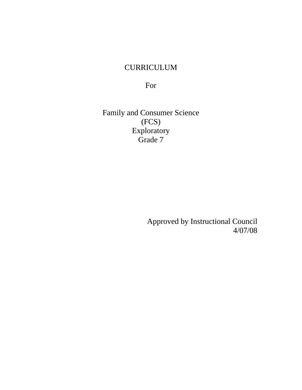# CURRICULUM

For

Family and Consumer Science (FCS) Exploratory Grade 7

> Approved by Instructional Council 4/07/08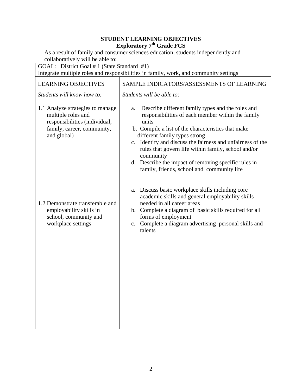| GOAL: District Goal # 1 (State Standard #1)<br>Integrate multiple roles and responsibilities in family, work, and community settings                               |                                                                                                                                                                                                                                                                                                                                                                                                                                                                                   |  |
|--------------------------------------------------------------------------------------------------------------------------------------------------------------------|-----------------------------------------------------------------------------------------------------------------------------------------------------------------------------------------------------------------------------------------------------------------------------------------------------------------------------------------------------------------------------------------------------------------------------------------------------------------------------------|--|
| <b>LEARNING OBJECTIVES</b>                                                                                                                                         | SAMPLE INDICATORS/ASSESSMENTS OF LEARNING                                                                                                                                                                                                                                                                                                                                                                                                                                         |  |
| Students will know how to:<br>1.1 Analyze strategies to manage<br>multiple roles and<br>responsibilities (individual,<br>family, career, community,<br>and global) | Students will be able to:<br>Describe different family types and the roles and<br>a.<br>responsibilities of each member within the family<br>units<br>b. Compile a list of the characteristics that make<br>different family types strong<br>c. Identify and discuss the fairness and unfairness of the<br>rules that govern life within family, school and/or<br>community<br>d. Describe the impact of removing specific rules in<br>family, friends, school and community life |  |
| 1.2 Demonstrate transferable and<br>employability skills in<br>school, community and<br>workplace settings                                                         | a. Discuss basic workplace skills including core<br>academic skills and general employability skills<br>needed in all career areas<br>b. Complete a diagram of basic skills required for all<br>forms of employment<br>c. Complete a diagram advertising personal skills and<br>talents                                                                                                                                                                                           |  |
|                                                                                                                                                                    |                                                                                                                                                                                                                                                                                                                                                                                                                                                                                   |  |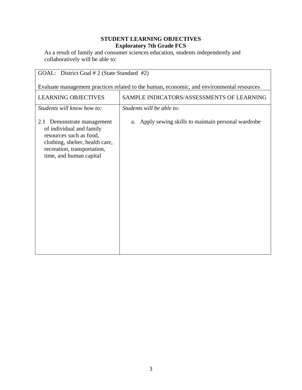| GOAL: District Goal # 2 (State Standard #2)                                                                                                                                       |                                                      |  |
|-----------------------------------------------------------------------------------------------------------------------------------------------------------------------------------|------------------------------------------------------|--|
| Evaluate management practices related to the human, economic, and environmental resources                                                                                         |                                                      |  |
| <b>LEARNING OBJECTIVES</b>                                                                                                                                                        | SAMPLE INDICATORS/ASSESSMENTS OF LEARNING            |  |
| Students will know how to:                                                                                                                                                        | Students will be able to:                            |  |
| Demonstrate management<br>2.1<br>of individual and family<br>resources such as food,<br>clothing, shelter, health care,<br>recreation, transportation,<br>time, and human capital | a. Apply sewing skills to maintain personal wardrobe |  |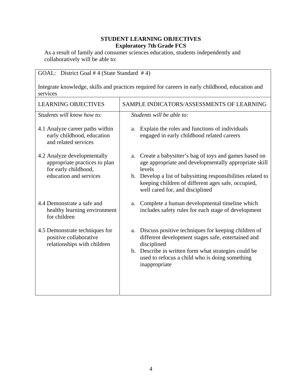| GOAL: District Goal #4 (State Standard #4)                                                                     |                                                                                                                                                                                                                                                                                     |  |
|----------------------------------------------------------------------------------------------------------------|-------------------------------------------------------------------------------------------------------------------------------------------------------------------------------------------------------------------------------------------------------------------------------------|--|
| Integrate knowledge, skills and practices required for careers in early childhood, education and<br>services   |                                                                                                                                                                                                                                                                                     |  |
| <b>LEARNING OBJECTIVES</b>                                                                                     | SAMPLE INDICATORS/ASSESSMENTS OF LEARNING                                                                                                                                                                                                                                           |  |
| Students will know how to:                                                                                     | Students will be able to:                                                                                                                                                                                                                                                           |  |
| 4.1 Analyze career paths within<br>early childhood, education<br>and related services                          | Explain the roles and functions of individuals<br>a.<br>engaged in early childhood related careers                                                                                                                                                                                  |  |
| 4.2 Analyze developmentally<br>appropriate practices to plan<br>for early childhood,<br>education and services | a. Create a babysitter's bag of toys and games based on<br>age appropriate and developmentally appropriate skill<br>levels<br>b. Develop a list of babysitting responsibilities related to<br>keeping children of different ages safe, occupied,<br>well cared for, and disciplined |  |
| 4.4 Demonstrate a safe and<br>healthy learning environment<br>for children                                     | Complete a human developmental timeline which<br>a.<br>includes safety rules for each stage of development                                                                                                                                                                          |  |
| 4.5 Demonstrate techniques for<br>positive collaborative<br>relationships with children                        | Discuss positive techniques for keeping children of<br>a.<br>different development stages safe, entertained and<br>disciplined<br>b. Describe in written form what strategies could be<br>used to refocus a child who is doing something<br>inappropriate                           |  |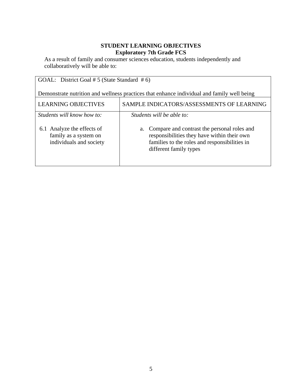| GOAL: District Goal # 5 (State Standard # 6)                                               |                                                                                                                                                                             |  |
|--------------------------------------------------------------------------------------------|-----------------------------------------------------------------------------------------------------------------------------------------------------------------------------|--|
| Demonstrate nutrition and wellness practices that enhance individual and family well being |                                                                                                                                                                             |  |
| <b>LEARNING OBJECTIVES</b>                                                                 | SAMPLE INDICATORS/ASSESSMENTS OF LEARNING                                                                                                                                   |  |
| Students will know how to:                                                                 | Students will be able to:                                                                                                                                                   |  |
| 6.1 Analyze the effects of<br>family as a system on<br>individuals and society             | Compare and contrast the personal roles and<br>a.<br>responsibilities they have within their own<br>families to the roles and responsibilities in<br>different family types |  |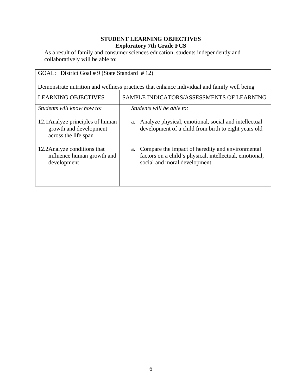| GOAL: District Goal #9 (State Standard #12)                                                |                                                                                                                                                |  |
|--------------------------------------------------------------------------------------------|------------------------------------------------------------------------------------------------------------------------------------------------|--|
| Demonstrate nutrition and wellness practices that enhance individual and family well being |                                                                                                                                                |  |
| <b>LEARNING OBJECTIVES</b>                                                                 | SAMPLE INDICATORS/ASSESSMENTS OF LEARNING                                                                                                      |  |
| Students will know how to:                                                                 | Students will be able to:                                                                                                                      |  |
| 12.1 Analyze principles of human<br>growth and development<br>across the life span         | a. Analyze physical, emotional, social and intellectual<br>development of a child from birth to eight years old                                |  |
| 12.2 Analyze conditions that<br>influence human growth and<br>development                  | a. Compare the impact of heredity and environmental<br>factors on a child's physical, intellectual, emotional,<br>social and moral development |  |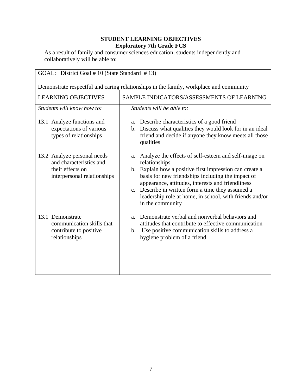| GOAL: District Goal #10 (State Standard #13)                                                              |                                                                                                                                                                                                                                                                                                                                                                                      |  |
|-----------------------------------------------------------------------------------------------------------|--------------------------------------------------------------------------------------------------------------------------------------------------------------------------------------------------------------------------------------------------------------------------------------------------------------------------------------------------------------------------------------|--|
| Demonstrate respectful and caring relationships in the family, workplace and community                    |                                                                                                                                                                                                                                                                                                                                                                                      |  |
| <b>LEARNING OBJECTIVES</b>                                                                                | SAMPLE INDICATORS/ASSESSMENTS OF LEARNING                                                                                                                                                                                                                                                                                                                                            |  |
| Students will know how to:                                                                                | Students will be able to:                                                                                                                                                                                                                                                                                                                                                            |  |
| 13.1 Analyze functions and<br>expectations of various<br>types of relationships                           | a. Describe characteristics of a good friend<br>b. Discuss what qualities they would look for in an ideal<br>friend and decide if anyone they know meets all those<br>qualities                                                                                                                                                                                                      |  |
| 13.2 Analyze personal needs<br>and characteristics and<br>their effects on<br>interpersonal relationships | Analyze the effects of self-esteem and self-image on<br>a.<br>relationships<br>b. Explain how a positive first impression can create a<br>basis for new friendships including the impact of<br>appearance, attitudes, interests and friendliness<br>c. Describe in written form a time they assumed a<br>leadership role at home, in school, with friends and/or<br>in the community |  |
| 13.1 Demonstrate<br>communication skills that<br>contribute to positive<br>relationships                  | Demonstrate verbal and nonverbal behaviors and<br>a.<br>attitudes that contribute to effective communication<br>Use positive communication skills to address a<br>$\mathbf{b}$ .<br>hygiene problem of a friend                                                                                                                                                                      |  |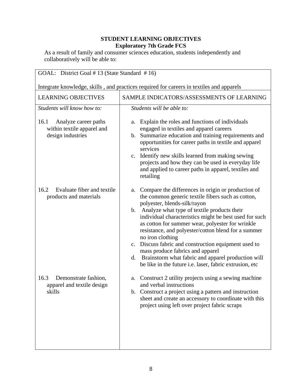| GOAL: District Goal #13 (State Standard #16)                                             |                                                                                                                                                                                                                                                                                                                                                                                                                                                                                                                                                                                                       |  |
|------------------------------------------------------------------------------------------|-------------------------------------------------------------------------------------------------------------------------------------------------------------------------------------------------------------------------------------------------------------------------------------------------------------------------------------------------------------------------------------------------------------------------------------------------------------------------------------------------------------------------------------------------------------------------------------------------------|--|
| Integrate knowledge, skills, and practices required for careers in textiles and apparels |                                                                                                                                                                                                                                                                                                                                                                                                                                                                                                                                                                                                       |  |
| <b>LEARNING OBJECTIVES</b>                                                               | SAMPLE INDICATORS/ASSESSMENTS OF LEARNING                                                                                                                                                                                                                                                                                                                                                                                                                                                                                                                                                             |  |
| Students will know how to:                                                               | Students will be able to:                                                                                                                                                                                                                                                                                                                                                                                                                                                                                                                                                                             |  |
| 16.1<br>Analyze career paths<br>within textile apparel and<br>design industries          | a. Explain the roles and functions of individuals<br>engaged in textiles and apparel careers<br>b. Summarize education and training requirements and<br>opportunities for career paths in textile and apparel<br>services<br>c. Identify new skills learned from making sewing<br>projects and how they can be used in everyday life<br>and applied to career paths in apparel, textiles and<br>retailing                                                                                                                                                                                             |  |
| Evaluate fiber and textile<br>16.2<br>products and materials                             | a. Compare the differences in origin or production of<br>the common generic textile fibers such as cotton,<br>polyester, blends-silk/rayon<br>b. Analyze what type of textile products their<br>individual characteristics might be best used for such<br>as cotton for summer wear, polyester for wrinkle<br>resistance, and polyester/cotton blend for a summer<br>no iron clothing<br>c. Discuss fabric and construction equipment used to<br>mass produce fabrics and apparel<br>d. Brainstorm what fabric and apparel production will<br>be like in the future i.e. laser, fabric extrusion, etc |  |
| 16.3<br>Demonstrate fashion,<br>apparel and textile design<br>skills                     | Construct 2 utility projects using a sewing machine<br>a.<br>and verbal instructions<br>b. Construct a project using a pattern and instruction<br>sheet and create an accessory to coordinate with this<br>project using left over project fabric scraps                                                                                                                                                                                                                                                                                                                                              |  |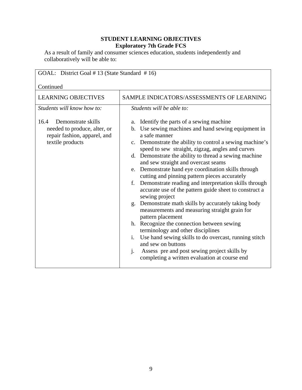| GOAL: District Goal #13 (State Standard #16)                                                                   |                                                                                                                                                                                                                                                                                                                                                                                                                                                                                                                                                                                                                                                                                                                                                                                                                                                                                                                                                                                                         |  |
|----------------------------------------------------------------------------------------------------------------|---------------------------------------------------------------------------------------------------------------------------------------------------------------------------------------------------------------------------------------------------------------------------------------------------------------------------------------------------------------------------------------------------------------------------------------------------------------------------------------------------------------------------------------------------------------------------------------------------------------------------------------------------------------------------------------------------------------------------------------------------------------------------------------------------------------------------------------------------------------------------------------------------------------------------------------------------------------------------------------------------------|--|
| Continued                                                                                                      |                                                                                                                                                                                                                                                                                                                                                                                                                                                                                                                                                                                                                                                                                                                                                                                                                                                                                                                                                                                                         |  |
| <b>LEARNING OBJECTIVES</b>                                                                                     | SAMPLE INDICATORS/ASSESSMENTS OF LEARNING                                                                                                                                                                                                                                                                                                                                                                                                                                                                                                                                                                                                                                                                                                                                                                                                                                                                                                                                                               |  |
| Students will know how to:                                                                                     | Students will be able to:                                                                                                                                                                                                                                                                                                                                                                                                                                                                                                                                                                                                                                                                                                                                                                                                                                                                                                                                                                               |  |
| 16.4<br>Demonstrate skills<br>needed to produce, alter, or<br>repair fashion, apparel, and<br>textile products | a. Identify the parts of a sewing machine<br>b. Use sewing machines and hand sewing equipment in<br>a safe manner<br>c. Demonstrate the ability to control a sewing machine's<br>speed to sew straight, zigzag, angles and curves<br>d. Demonstrate the ability to thread a sewing machine<br>and sew straight and overcast seams<br>e. Demonstrate hand eye coordination skills through<br>cutting and pinning pattern pieces accurately<br>Demonstrate reading and interpretation skills through<br>f.<br>accurate use of the pattern guide sheet to construct a<br>sewing project<br>Demonstrate math skills by accurately taking body<br>g.<br>measurements and measuring straight grain for<br>pattern placement<br>h. Recognize the connection between sewing<br>terminology and other disciplines<br>Use hand sewing skills to do overcast, running stitch<br>$i$ .<br>and sew on buttons<br>Assess pre and post sewing project skills by<br>j.<br>completing a written evaluation at course end |  |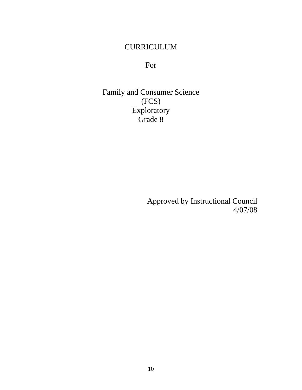# CURRICULUM

For

Family and Consumer Science (FCS) Exploratory Grade 8

> Approved by Instructional Council 4/07/08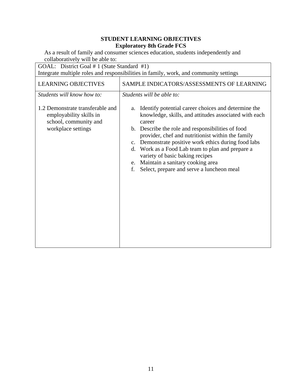As a result of family and consumer sciences education, students independently and collaboratively will be able to:

GOAL: District Goal # 1 (State Standard #1)

| Integrate multiple roles and responsibilities in family, work, and community settings |  |
|---------------------------------------------------------------------------------------|--|
|                                                                                       |  |

| <b>LEARNING OBJECTIVES</b>                                                                                                               | SAMPLE INDICATORS/ASSESSMENTS OF LEARNING                                                                                                                                                                                                                                                                                                                                                                       |  |
|------------------------------------------------------------------------------------------------------------------------------------------|-----------------------------------------------------------------------------------------------------------------------------------------------------------------------------------------------------------------------------------------------------------------------------------------------------------------------------------------------------------------------------------------------------------------|--|
| Students will know how to:<br>1.2 Demonstrate transferable and<br>employability skills in<br>school, community and<br>workplace settings | Students will be able to:<br>a. Identify potential career choices and determine the<br>knowledge, skills, and attitudes associated with each<br>career<br>b. Describe the role and responsibilities of food<br>provider, chef and nutritionist within the family<br>c. Demonstrate positive work ethics during food labs<br>d. Work as a Food Lab team to plan and prepare a<br>variety of basic baking recipes |  |
|                                                                                                                                          | e. Maintain a sanitary cooking area<br>Select, prepare and serve a luncheon meal<br>f.                                                                                                                                                                                                                                                                                                                          |  |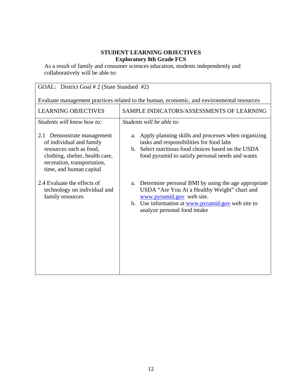| GOAL: District Goal # 2 (State Standard #2)                                                                                                                                    |                                                                                                                                                                                                                          |  |
|--------------------------------------------------------------------------------------------------------------------------------------------------------------------------------|--------------------------------------------------------------------------------------------------------------------------------------------------------------------------------------------------------------------------|--|
| Evaluate management practices related to the human, economic, and environmental resources                                                                                      |                                                                                                                                                                                                                          |  |
| <b>LEARNING OBJECTIVES</b>                                                                                                                                                     | SAMPLE INDICATORS/ASSESSMENTS OF LEARNING                                                                                                                                                                                |  |
| Students will know how to:                                                                                                                                                     | Students will be able to:                                                                                                                                                                                                |  |
| 2.1 Demonstrate management<br>of individual and family<br>resources such as food,<br>clothing, shelter, health care,<br>recreation, transportation,<br>time, and human capital | a. Apply planning skills and processes when organizing<br>tasks and responsibilities for food labs<br>b. Select nutritious food choices based on the USDA<br>food pyramid to satisfy personal needs and wants            |  |
| 2.4 Evaluate the effects of<br>technology on individual and<br>family resources                                                                                                | a. Determine personal BMI by using the age appropriate<br>USDA "Are You At a Healthy Weight" chart and<br>www.pyramid.gov web site.<br>b. Use information at www.pyramid.gov web site to<br>analyze personal food intake |  |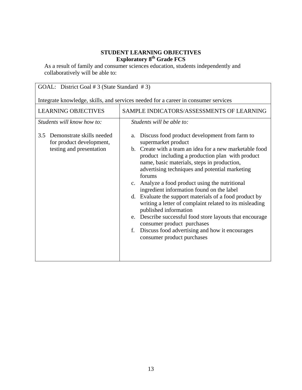| GOAL: District Goal # 3 (State Standard # 3)                 |                                                                                                                                                                                                                                                                                                                                                                                                                                                                                                                                                                                                                                                   |
|--------------------------------------------------------------|---------------------------------------------------------------------------------------------------------------------------------------------------------------------------------------------------------------------------------------------------------------------------------------------------------------------------------------------------------------------------------------------------------------------------------------------------------------------------------------------------------------------------------------------------------------------------------------------------------------------------------------------------|
|                                                              |                                                                                                                                                                                                                                                                                                                                                                                                                                                                                                                                                                                                                                                   |
|                                                              | Integrate knowledge, skills, and services needed for a career in consumer services                                                                                                                                                                                                                                                                                                                                                                                                                                                                                                                                                                |
| <b>LEARNING OBJECTIVES</b>                                   | SAMPLE INDICATORS/ASSESSMENTS OF LEARNING                                                                                                                                                                                                                                                                                                                                                                                                                                                                                                                                                                                                         |
| Students will know how to:                                   | Students will be able to:                                                                                                                                                                                                                                                                                                                                                                                                                                                                                                                                                                                                                         |
| Demonstrate skills needed<br>3.5<br>for product development, | Discuss food product development from farm to<br>a.<br>supermarket product                                                                                                                                                                                                                                                                                                                                                                                                                                                                                                                                                                        |
| testing and presentation                                     | b. Create with a team an idea for a new marketable food<br>product including a production plan with product<br>name, basic materials, steps in production,<br>advertising techniques and potential marketing<br>forums<br>c. Analyze a food product using the nutritional<br>ingredient information found on the label<br>d. Evaluate the support materials of a food product by<br>writing a letter of complaint related to its misleading<br>published information<br>e. Describe successful food store layouts that encourage<br>consumer product purchases<br>f. Discuss food advertising and how it encourages<br>consumer product purchases |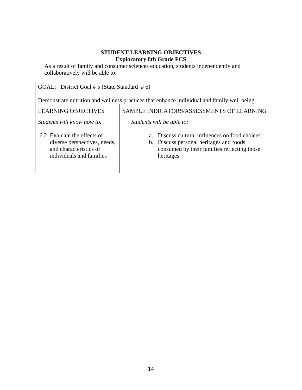| GOAL: District Goal # 5 (State Standard # 6)                                                                      |                                                                                                                                                               |  |
|-------------------------------------------------------------------------------------------------------------------|---------------------------------------------------------------------------------------------------------------------------------------------------------------|--|
| Demonstrate nutrition and wellness practices that enhance individual and family well being                        |                                                                                                                                                               |  |
| <b>LEARNING OBJECTIVES</b>                                                                                        | SAMPLE INDICATORS/ASSESSMENTS OF LEARNING                                                                                                                     |  |
| Students will know how to:                                                                                        | Students will be able to:                                                                                                                                     |  |
| 6.2 Evaluate the effects of<br>diverse perspectives, needs,<br>and characteristics of<br>individuals and families | Discuss cultural influences on food choices<br>$a_{-}$<br>b. Discuss personal heritages and foods<br>consumed by their families reflecting those<br>heritages |  |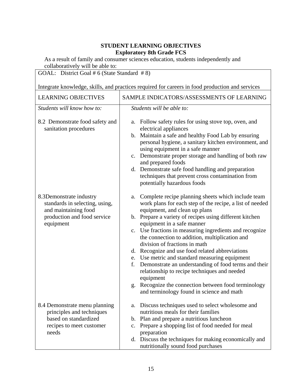As a result of family and consumer sciences education, students independently and collaboratively will be able to:

GOAL: District Goal # 6 (State Standard # 8) Integrate knowledge, skills, and practices required for careers in food production and services LEARNING OBJECTIVES SAMPLE INDICATORS/ASSESSMENTS OF LEARNING *Students will know how to:*  8.2 Demonstrate food safety and sanitation procedures 8.3Demonstrate industry standards in selecting, using, and maintaining food production and food service equipment 8.4 Demonstrate menu planning principles and techniques based on standardized recipes to meet customer needs *Students will be able to:* a. Follow safety rules for using stove top, oven, and electrical appliances b. Maintain a safe and healthy Food Lab by ensuring personal hygiene, a sanitary kitchen environment, and using equipment in a safe manner c. Demonstrate proper storage and handling of both raw and prepared foods d. Demonstrate safe food handling and preparation techniques that prevent cross contamination from potentially hazardous foods a. Complete recipe planning sheets which include team work plans for each step of the recipe, a list of needed equipment, and clean up plans b. Prepare a variety of recipes using different kitchen equipment in a safe manner c. Use fractions in measuring ingredients and recognize the connection to addition, multiplication and division of fractions in math d. Recognize and use food related abbreviations e. Use metric and standard measuring equipment f. Demonstrate an understanding of food terms and their relationship to recipe techniques and needed equipment g. Recognize the connection between food terminology and terminology found in science and math a. Discuss techniques used to select wholesome and nutritious meals for their families b. Plan and prepare a nutritious luncheon c. Prepare a shopping list of food needed for meal preparation d. Discuss the techniques for making economically and nutritionally sound food purchases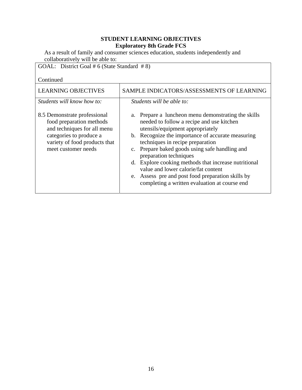As a result of family and consumer sciences education, students independently and collaboratively will be able to:

GOAL: District Goal # 6 (State Standard # 8)

| <b>LEARNING OBJECTIVES</b>                                                                                                                                                 | SAMPLE INDICATORS/ASSESSMENTS OF LEARNING                                                                                                                                                                                                                                                                                                                                                                                                                                                                      |
|----------------------------------------------------------------------------------------------------------------------------------------------------------------------------|----------------------------------------------------------------------------------------------------------------------------------------------------------------------------------------------------------------------------------------------------------------------------------------------------------------------------------------------------------------------------------------------------------------------------------------------------------------------------------------------------------------|
| Students will know how to:                                                                                                                                                 | Students will be able to:                                                                                                                                                                                                                                                                                                                                                                                                                                                                                      |
| 8.5 Demonstrate professional<br>food preparation methods<br>and techniques for all menu<br>categories to produce a<br>variety of food products that<br>meet customer needs | a. Prepare a luncheon menu demonstrating the skills<br>needed to follow a recipe and use kitchen<br>utensils/equipment appropriately<br>b. Recognize the importance of accurate measuring<br>techniques in recipe preparation<br>c. Prepare baked goods using safe handling and<br>preparation techniques<br>d. Explore cooking methods that increase nutritional<br>value and lower calorie/fat content<br>e. Assess pre and post food preparation skills by<br>completing a written evaluation at course end |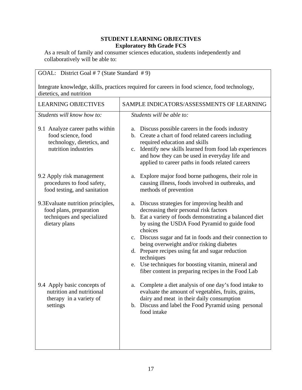| GOAL: District Goal #7 (State Standard #9)                                                                                |                                                                                                                                                                                                                                                                                                                                                                                                                                                                                                           |  |
|---------------------------------------------------------------------------------------------------------------------------|-----------------------------------------------------------------------------------------------------------------------------------------------------------------------------------------------------------------------------------------------------------------------------------------------------------------------------------------------------------------------------------------------------------------------------------------------------------------------------------------------------------|--|
| Integrate knowledge, skills, practices required for careers in food science, food technology,<br>dietetics, and nutrition |                                                                                                                                                                                                                                                                                                                                                                                                                                                                                                           |  |
| <b>LEARNING OBJECTIVES</b>                                                                                                | SAMPLE INDICATORS/ASSESSMENTS OF LEARNING                                                                                                                                                                                                                                                                                                                                                                                                                                                                 |  |
| Students will know how to:                                                                                                | Students will be able to:                                                                                                                                                                                                                                                                                                                                                                                                                                                                                 |  |
| 9.1 Analyze career paths within<br>food science, food<br>technology, dietetics, and<br>nutrition industries               | Discuss possible careers in the foods industry<br>a.<br>b. Create a chart of food related careers including<br>required education and skills<br>c. Identify new skills learned from food lab experiences<br>and how they can be used in everyday life and<br>applied to career paths in foods related careers                                                                                                                                                                                             |  |
| 9.2 Apply risk management<br>procedures to food safety,<br>food testing, and sanitation                                   | a. Explore major food borne pathogens, their role in<br>causing illness, foods involved in outbreaks, and<br>methods of prevention                                                                                                                                                                                                                                                                                                                                                                        |  |
| 9.3 Evaluate nutrition principles,<br>food plans, preparation<br>techniques and specialized<br>dietary plans              | Discuss strategies for improving health and<br>a.<br>decreasing their personal risk factors<br>b. Eat a variety of foods demonstrating a balanced diet<br>by using the USDA Food Pyramid to guide food<br>choices<br>c. Discuss sugar and fat in foods and their connection to<br>being overweight and/or risking diabetes<br>d. Prepare recipes using fat and sugar reduction<br>techniques<br>e. Use techniques for boosting vitamin, mineral and<br>fiber content in preparing recipes in the Food Lab |  |
| 9.4 Apply basic concepts of<br>nutrition and nutritional<br>therapy in a variety of<br>settings                           | Complete a diet analysis of one day's food intake to<br>a.<br>evaluate the amount of vegetables, fruits, grains,<br>dairy and meat in their daily consumption<br>b. Discuss and label the Food Pyramid using personal<br>food intake                                                                                                                                                                                                                                                                      |  |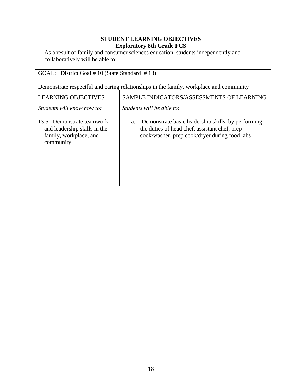| GOAL: District Goal #10 (State Standard #13)                                                     |                                                                                                                                                           |  |
|--------------------------------------------------------------------------------------------------|-----------------------------------------------------------------------------------------------------------------------------------------------------------|--|
| Demonstrate respectful and caring relationships in the family, workplace and community           |                                                                                                                                                           |  |
| <b>LEARNING OBJECTIVES</b>                                                                       | SAMPLE INDICATORS/ASSESSMENTS OF LEARNING                                                                                                                 |  |
| Students will know how to:                                                                       | Students will be able to:                                                                                                                                 |  |
| 13.5 Demonstrate teamwork<br>and leadership skills in the<br>family, workplace, and<br>community | Demonstrate basic leadership skills by performing<br>a.<br>the duties of head chef, assistant chef, prep<br>cook/washer, prep cook/dryer during food labs |  |